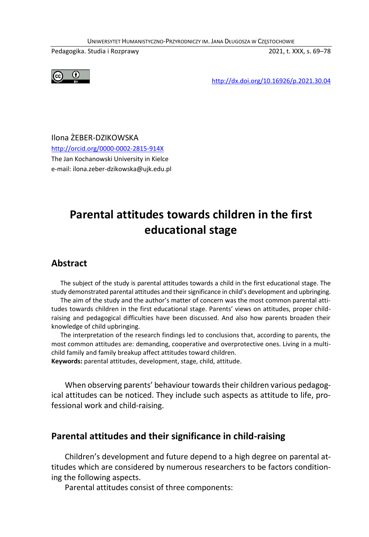UNIWERSYTET HUMANISTYCZNO-PRZYRODNICZY IM. JANA DŁUGOSZA W CZĘSTOCHOWIE

Pedagogika. Studia i Rozprawy 2021, t. XXX, s. 69–78



http://dx.doi.org/10.16926/p.2021.30.04

Ilona ŻEBER-DZIKOWSKA http://orcid.org/0000-0002-2815-914X The Jan Kochanowski University in Kielce e-mail: ilona.zeber-dzikowska@ujk.edu.pl

# **Parental attitudes towards children in the first educational stage**

#### **Abstract**

The subject of the study is parental attitudes towards a child in the first educational stage. The study demonstrated parental attitudes and their significance in child's development and upbringing.

The aim of the study and the author's matter of concern was the most common parental attitudes towards children in the first educational stage. Parents' views on attitudes, proper childraising and pedagogical difficulties have been discussed. And also how parents broaden their knowledge of child upbringing.

The interpretation of the research findings led to conclusions that, according to parents, the most common attitudes are: demanding, cooperative and overprotective ones. Living in a multichild family and family breakup affect attitudes toward children.

**Keywords:** parental attitudes, development, stage, child, attitude.

When observing parents' behaviour towards their children various pedagogical attitudes can be noticed. They include such aspects as attitude to life, professional work and child-raising.

#### **Parental attitudes and their significance in child-raising**

Children's development and future depend to a high degree on parental attitudes which are considered by numerous researchers to be factors conditioning the following aspects.

Parental attitudes consist of three components: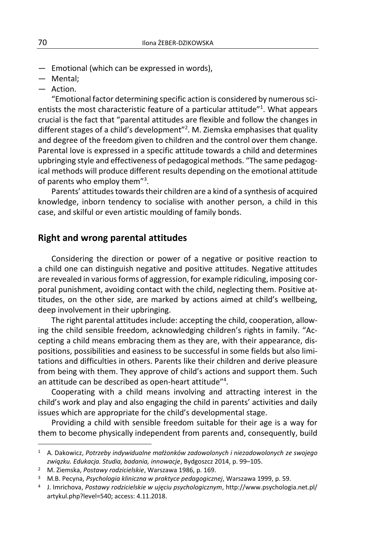- Emotional (which can be expressed in words),
- Mental;
- Action.

"Emotional factor determining specific action is considered by numerous scientists the most characteristic feature of a particular attitude"<sup>1</sup>. What appears crucial is the fact that "parental attitudes are flexible and follow the changes in different stages of a child's development"<sup>2</sup>. M. Ziemska emphasises that quality and degree of the freedom given to children and the control over them change. Parental love is expressed in a specific attitude towards a child and determines upbringing style and effectiveness of pedagogical methods. "The same pedagogical methods will produce different results depending on the emotional attitude of parents who employ them"<sup>3</sup>.

Parents' attitudes towards their children are a kind of a synthesis of acquired knowledge, inborn tendency to socialise with another person, a child in this case, and skilful or even artistic moulding of family bonds.

#### **Right and wrong parental attitudes**

Considering the direction or power of a negative or positive reaction to a child one can distinguish negative and positive attitudes. Negative attitudes are revealed in various forms of aggression, for example ridiculing, imposing corporal punishment, avoiding contact with the child, neglecting them. Positive attitudes, on the other side, are marked by actions aimed at child's wellbeing, deep involvement in their upbringing.

The right parental attitudes include: accepting the child, cooperation, allowing the child sensible freedom, acknowledging children's rights in family. "Accepting a child means embracing them as they are, with their appearance, dispositions, possibilities and easiness to be successful in some fields but also limitations and difficulties in others. Parents like their children and derive pleasure from being with them. They approve of child's actions and support them. Such an attitude can be described as open-heart attitude"<sup>4</sup>.

Cooperating with a child means involving and attracting interest in the child's work and play and also engaging the child in parents' activities and daily issues which are appropriate for the child's developmental stage.

Providing a child with sensible freedom suitable for their age is a way for them to become physically independent from parents and, consequently, build

 $\overline{a}$ 

<sup>1</sup> A. Dakowicz, *Potrzeby indywidualne małżonków zadowolonych i niezadowolonych ze swojego związku. Edukacja. Studia, badania, innowacje*, Bydgoszcz 2014, p. 99–105.

<sup>2</sup> M. Ziemska, *Postawy rodzicielskie*, Warszawa 1986, p. 169.

<sup>3</sup> M.B. Pecyna, *Psychologia kliniczna w praktyce pedagogicznej*, Warszawa 1999, p. 59.

<sup>4</sup> J. Imrichova, *Postawy rodzicielskie w ujęciu psychologicznym*, http://www.psychologia.net.pl/ artykul.php?level=540; access: 4.11.2018.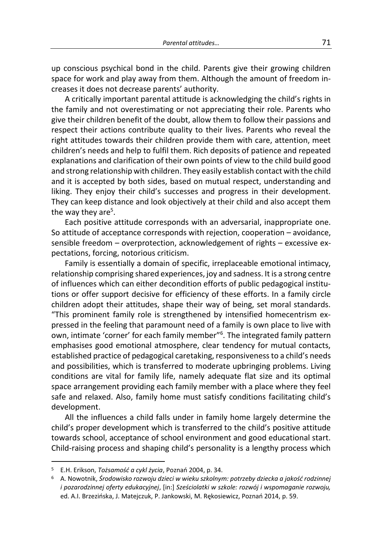up conscious psychical bond in the child. Parents give their growing children space for work and play away from them. Although the amount of freedom increases it does not decrease parents' authority.

A critically important parental attitude is acknowledging the child's rights in the family and not overestimating or not appreciating their role. Parents who give their children benefit of the doubt, allow them to follow their passions and respect their actions contribute quality to their lives. Parents who reveal the right attitudes towards their children provide them with care, attention, meet children's needs and help to fulfil them. Rich deposits of patience and repeated explanations and clarification of their own points of view to the child build good and strong relationship with children. They easily establish contact with the child and it is accepted by both sides, based on mutual respect, understanding and liking. They enjoy their child's successes and progress in their development. They can keep distance and look objectively at their child and also accept them the way they are<sup>5</sup>.

Each positive attitude corresponds with an adversarial, inappropriate one. So attitude of acceptance corresponds with rejection, cooperation – avoidance, sensible freedom – overprotection, acknowledgement of rights – excessive expectations, forcing, notorious criticism.

Family is essentially a domain of specific, irreplaceable emotional intimacy, relationship comprising shared experiences, joy and sadness. It is a strong centre of influences which can either decondition efforts of public pedagogical institutions or offer support decisive for efficiency of these efforts. In a family circle children adopt their attitudes, shape their way of being, set moral standards. "This prominent family role is strengthened by intensified homecentrism expressed in the feeling that paramount need of a family is own place to live with own, intimate 'corner' for each family member"<sup>6</sup>. The integrated family pattern emphasises good emotional atmosphere, clear tendency for mutual contacts, established practice of pedagogical caretaking, responsivenessto a child's needs and possibilities, which is transferred to moderate upbringing problems. Living conditions are vital for family life, namely adequate flat size and its optimal space arrangement providing each family member with a place where they feel safe and relaxed. Also, family home must satisfy conditions facilitating child's development.

All the influences a child falls under in family home largely determine the child's proper development which is transferred to the child's positive attitude towards school, acceptance of school environment and good educational start. Child-raising process and shaping child's personality is a lengthy process which

1

<sup>5</sup> E.H. Erikson, *Tożsamość a cykl życia*, Poznań 2004, p. 34.

<sup>6</sup> A. Nowotnik, *Środowisko rozwoju dzieci w wieku szkolnym: potrzeby dziecka a jakość rodzinnej i pozarodzinnej oferty edukacyjnej*, [in:] *Sześciolatki w szkole: rozwój i wspomaganie rozwoju,*  ed. A.I. Brzezińska, J. Matejczuk, P. Jankowski, M. Rękosiewicz, Poznań 2014, p. 59.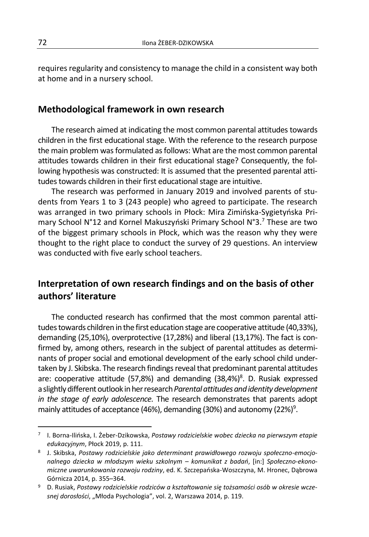requires regularity and consistency to manage the child in a consistent way both at home and in a nursery school.

#### **Methodological framework in own research**

The research aimed at indicating the most common parental attitudes towards children in the first educational stage. With the reference to the research purpose the main problem was formulated as follows: What are the most common parental attitudes towards children in their first educational stage? Consequently, the following hypothesis was constructed: It is assumed that the presented parental attitudes towards children in their first educational stage are intuitive.

The research was performed in January 2019 and involved parents of students from Years 1 to 3 (243 people) who agreed to participate. The research was arranged in two primary schools in Płock: Mira Zimińska-Sygietyńska Primary School N°12 and Kornel Makuszyński Primary School N°3.<sup>7</sup> These are two of the biggest primary schools in Płock, which was the reason why they were thought to the right place to conduct the survey of 29 questions. An interview was conducted with five early school teachers.

## **Interpretation of own research findings and on the basis of other authors' literature**

The conducted research has confirmed that the most common parental attitudes towards children in the first education stage are cooperative attitude (40,33%), demanding (25,10%), overprotective (17,28%) and liberal (13,17%). The fact is confirmed by, among others, research in the subject of parental attitudes as determinants of proper social and emotional development of the early school child undertaken by J. Skibska. The research findings reveal that predominant parental attitudes are: cooperative attitude (57,8%) and demanding (38,4%)<sup>8</sup>. D. Rusiak expressed a slightly different outlook in her research *Parental attitudes and identity development in the stage of early adolescence.* The research demonstrates that parents adopt mainly attitudes of acceptance (46%), demanding (30%) and autonomy (22%)<sup>9</sup>.

 $\overline{a}$ 

<sup>7</sup> I. Borna-Ilińska, I. Żeber-Dzikowska, *Postawy rodzicielskie wobec dziecka na pierwszym etapie edukacyjnym*, Płock 2019, p. 111.

<sup>8</sup> J. Skibska, *Postawy rodzicielskie jako determinant prawidłowego rozwoju społeczno-emocjonalnego dziecka w młodszym wieku szkolnym – komunikat z badań*, [in:] *Społeczno-ekonomiczne uwarunkowania rozwoju rodziny*, ed. K. Szczepańska-Woszczyna, M. Hronec, Dąbrowa Górnicza 2014, p. 355–364.

<sup>9</sup> D. Rusiak, *Postawy rodzicielskie rodziców a kształtowanie się tożsamości osób w okresie wczesnej dorosłości*, "Młoda Psychologia", vol. 2, Warszawa 2014, p. 119.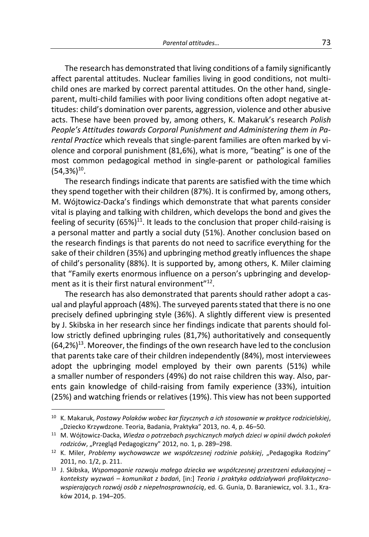The research has demonstrated that living conditions of a family significantly affect parental attitudes. Nuclear families living in good conditions, not multichild ones are marked by correct parental attitudes. On the other hand, singleparent, multi-child families with poor living conditions often adopt negative attitudes: child's domination over parents, aggression, violence and other abusive acts. These have been proved by, among others, K. Makaruk's research *Polish People's Attitudes towards Corporal Punishment and Administering them in Parental Practice* which reveals that single-parent families are often marked by violence and corporal punishment (81,6%), what is more, "beating" is one of the most common pedagogical method in single-parent or pathological families  $(54,3\%)^{10}$ .

The research findings indicate that parents are satisfied with the time which they spend together with their children (87%). It is confirmed by, among others, M. Wójtowicz-Dacka's findings which demonstrate that what parents consider vital is playing and talking with children, which develops the bond and gives the feeling of security  $(65%)^{11}$ . It leads to the conclusion that proper child-raising is a personal matter and partly a social duty (51%). Another conclusion based on the research findings is that parents do not need to sacrifice everything for the sake of their children (35%) and upbringing method greatly influences the shape of child's personality (88%). It is supported by, among others, K. Miler claiming that "Family exerts enormous influence on a person's upbringing and development as it is their first natural environment"<sup>12</sup>.

The research has also demonstrated that parents should rather adopt a casual and playful approach (48%). The surveyed parents stated that there is no one precisely defined upbringing style (36%). A slightly different view is presented by J. Skibska in her research since her findings indicate that parents should follow strictly defined upbringing rules (81,7%) authoritatively and consequently  $(64,2\%)$ <sup>13</sup>. Moreover, the findings of the own research have led to the conclusion that parents take care of their children independently (84%), most interviewees adopt the upbringing model employed by their own parents (51%) while a smaller number of responders (49%) do not raise children this way. Also, parents gain knowledge of child-raising from family experience (33%), intuition (25%) and watching friends or relatives (19%). This view has not been supported

1

<sup>10</sup> K. Makaruk, *Postawy Polaków wobec kar fizycznych a ich stosowanie w praktyce rodzicielskiej*, "Dziecko Krzywdzone. Teoria, Badania, Praktyka" 2013, no. 4, p. 46-50.

<sup>11</sup> M. Wójtowicz-Dacka, *Wiedza o potrzebach psychicznych małych dzieci w opinii dwóch pokoleń*  rodziców, "Przegląd Pedagogiczny" 2012, no. 1, p. 289-298.

<sup>&</sup>lt;sup>12</sup> K. Miler, Problemy wychowawcze we współczesnej rodzinie polskiej, "Pedagogika Rodziny" 2011, no. 1/2, p. 211.

<sup>13</sup> J. Skibska, *Wspomaganie rozwoju małego dziecka we współczesnej przestrzeni edukacyjnej – konteksty wyzwań – komunikat z badań*, [in:] *Teoria i praktyka oddziaływań profilaktycznowspierających rozwój osób z niepełnosprawnością*, ed. G. Gunia, D. Baraniewicz, vol. 3.1., Kraków 2014, p. 194–205.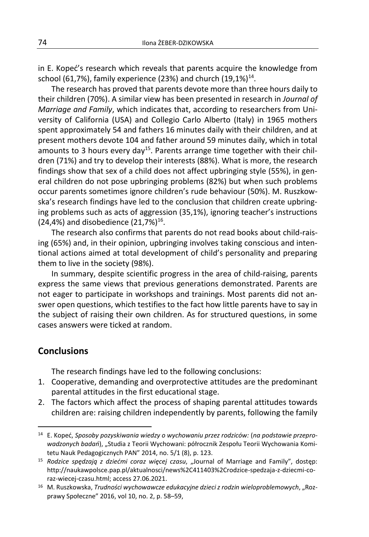in E. Kopeć's research which reveals that parents acquire the knowledge from school (61,7%), family experience (23%) and church  $(19,1\%)^{14}$ .

The research has proved that parents devote more than three hours daily to their children (70%). A similar view has been presented in research in *Journal of Marriage and Family*, which indicates that, according to researchers from University of California (USA) and Collegio Carlo Alberto (Italy) in 1965 mothers spent approximately 54 and fathers 16 minutes daily with their children, and at present mothers devote 104 and father around 59 minutes daily, which in total amounts to 3 hours every day<sup>15</sup>. Parents arrange time together with their children (71%) and try to develop their interests (88%). What is more, the research findings show that sex of a child does not affect upbringing style (55%), in general children do not pose upbringing problems (82%) but when such problems occur parents sometimes ignore children's rude behaviour (50%). M. Ruszkowska's research findings have led to the conclusion that children create upbringing problems such as acts of aggression (35,1%), ignoring teacher's instructions  $(24, 4%)$  and disobedience  $(21, 7%)^{16}$ .

The research also confirms that parents do not read books about child-raising (65%) and, in their opinion, upbringing involves taking conscious and intentional actions aimed at total development of child's personality and preparing them to live in the society (98%).

In summary, despite scientific progress in the area of child-raising, parents express the same views that previous generations demonstrated. Parents are not eager to participate in workshops and trainings. Most parents did not answer open questions, which testifies to the fact how little parents have to say in the subject of raising their own children. As for structured questions, in some cases answers were ticked at random.

#### **Conclusions**

 $\overline{a}$ 

The research findings have led to the following conclusions:

- 1. Cooperative, demanding and overprotective attitudes are the predominant parental attitudes in the first educational stage.
- 2. The factors which affect the process of shaping parental attitudes towards children are: raising children independently by parents, following the family

<sup>14</sup> E. Kopeć, *Sposoby pozyskiwania wiedzy o wychowaniu przez rodziców:* (*na podstawie przeprowadzonych badań*), "Studia z Teorii Wychowani: półrocznik Zespołu Teorii Wychowania Komitetu Nauk Pedagogicznych PAN" 2014, no. 5/1 (8), p. 123.

<sup>&</sup>lt;sup>15</sup> Rodzice spędzają z dziećmi coraz więcej czasu, "Journal of Marriage and Family", dostęp: http://naukawpolsce.pap.pl/aktualnosci/news%2C411403%2Crodzice-spedzaja-z-dziecmi-coraz-wiecej-czasu.html; access 27.06.2021.

<sup>16</sup> M. Ruszkowska, *Trudności wychowawcze edukacyjne dzieci z rodzin wieloproblemowych*, "Rozprawy Społeczne" 2016, vol 10, no. 2, p. 58–59,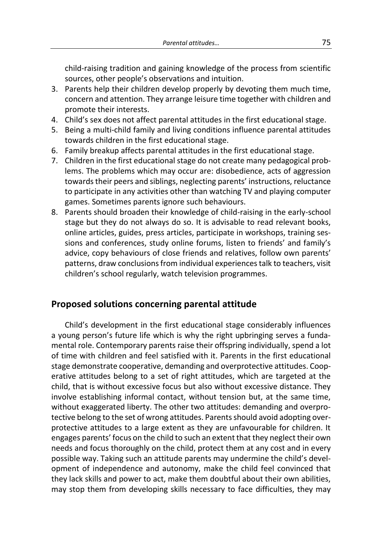child-raising tradition and gaining knowledge of the process from scientific sources, other people's observations and intuition.

- 3. Parents help their children develop properly by devoting them much time, concern and attention. They arrange leisure time together with children and promote their interests.
- 4. Child's sex does not affect parental attitudes in the first educational stage.
- 5. Being a multi-child family and living conditions influence parental attitudes towards children in the first educational stage.
- 6. Family breakup affects parental attitudes in the first educational stage.
- 7. Children in the first educational stage do not create many pedagogical problems. The problems which may occur are: disobedience, acts of aggression towards their peers and siblings, neglecting parents' instructions, reluctance to participate in any activities other than watching TV and playing computer games. Sometimes parents ignore such behaviours.
- 8. Parents should broaden their knowledge of child-raising in the early-school stage but they do not always do so. It is advisable to read relevant books, online articles, guides, press articles, participate in workshops, training sessions and conferences, study online forums, listen to friends' and family's advice, copy behaviours of close friends and relatives, follow own parents' patterns, draw conclusions from individual experiences talk to teachers, visit children's school regularly, watch television programmes.

### **Proposed solutions concerning parental attitude**

Child's development in the first educational stage considerably influences a young person's future life which is why the right upbringing serves a fundamental role. Contemporary parents raise their offspring individually, spend a lot of time with children and feel satisfied with it. Parents in the first educational stage demonstrate cooperative, demanding and overprotective attitudes. Cooperative attitudes belong to a set of right attitudes, which are targeted at the child, that is without excessive focus but also without excessive distance. They involve establishing informal contact, without tension but, at the same time, without exaggerated liberty. The other two attitudes: demanding and overprotective belong to the set of wrong attitudes. Parents should avoid adopting overprotective attitudes to a large extent as they are unfavourable for children. It engages parents' focus on the child to such an extent that they neglect their own needs and focus thoroughly on the child, protect them at any cost and in every possible way. Taking such an attitude parents may undermine the child's development of independence and autonomy, make the child feel convinced that they lack skills and power to act, make them doubtful about their own abilities, may stop them from developing skills necessary to face difficulties, they may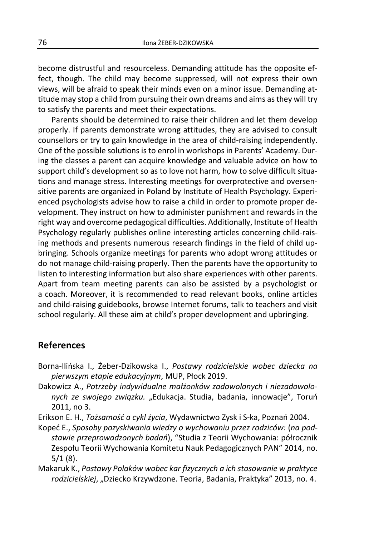become distrustful and resourceless. Demanding attitude has the opposite effect, though. The child may become suppressed, will not express their own views, will be afraid to speak their minds even on a minor issue. Demanding attitude may stop a child from pursuing their own dreams and aims as they will try to satisfy the parents and meet their expectations.

Parents should be determined to raise their children and let them develop properly. If parents demonstrate wrong attitudes, they are advised to consult counsellors or try to gain knowledge in the area of child-raising independently. One of the possible solutions is to enrol in workshops in Parents' Academy. During the classes a parent can acquire knowledge and valuable advice on how to support child's development so as to love not harm, how to solve difficult situations and manage stress. Interesting meetings for overprotective and oversensitive parents are organized in Poland by Institute of Health Psychology. Experienced psychologists advise how to raise a child in order to promote proper development. They instruct on how to administer punishment and rewards in the right way and overcome pedagogical difficulties. Additionally, Institute of Health Psychology regularly publishes online interesting articles concerning child-raising methods and presents numerous research findings in the field of child upbringing. Schools organize meetings for parents who adopt wrong attitudes or do not manage child-raising properly. Then the parents have the opportunity to listen to interesting information but also share experiences with other parents. Apart from team meeting parents can also be assisted by a psychologist or a coach. Moreover, it is recommended to read relevant books, online articles and child-raising guidebooks, browse Internet forums, talk to teachers and visit school regularly. All these aim at child's proper development and upbringing.

#### **References**

- Borna-Ilińska I., Żeber-Dzikowska I., *Postawy rodzicielskie wobec dziecka na pierwszym etapie edukacyjnym*, MUP, Płock 2019.
- Dakowicz A., *Potrzeby indywidualne małżonków zadowolonych i niezadowolonych ze swojego związku.* "Edukacja. Studia, badania, innowacje", Toruń 2011, no 3.
- Erikson E. H., *Tożsamość a cykl życia*, Wydawnictwo Zysk i S-ka, Poznań 2004.
- Kopeć E., *Sposoby pozyskiwania wiedzy o wychowaniu przez rodziców:* (*na podstawie przeprowadzonych badań*), "Studia z Teorii Wychowania: półrocznik Zespołu Teorii Wychowania Komitetu Nauk Pedagogicznych PAN" 2014, no. 5/1 (8).
- Makaruk K., *Postawy Polaków wobec kar fizycznych a ich stosowanie w praktyce rodzicielskiej*, "Dziecko Krzywdzone. Teoria, Badania, Praktyka" 2013, no. 4.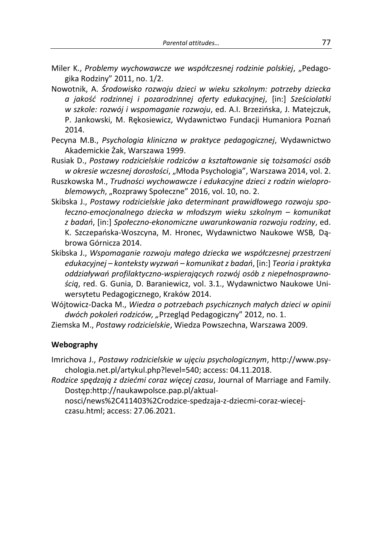- Miler K., *Problemy wychowawcze we współczesnej rodzinie polskiej*, "Pedagogika Rodziny" 2011, no. 1/2.
- Nowotnik, A. *Środowisko rozwoju dzieci w wieku szkolnym: potrzeby dziecka a jakość rodzinnej i pozarodzinnej oferty edukacyjnej*, [in:] *Sześciolatki w szkole: rozwój i wspomaganie rozwoju*, ed. A.I. Brzezińska, J. Matejczuk, P. Jankowski, M. Rękosiewicz, Wydawnictwo Fundacji Humaniora Poznań 2014.
- Pecyna M.B., *Psychologia kliniczna w praktyce pedagogicznej*, Wydawnictwo Akademickie Żak, Warszawa 1999.
- Rusiak D., *Postawy rodzicielskie rodziców a kształtowanie się tożsamości osób w okresie wczesnej dorosłości*, "Młoda Psychologia", Warszawa 2014, vol. 2.
- Ruszkowska M., *Trudności wychowawcze i edukacyjne dzieci z rodzin wielopro*blemowych, "Rozprawy Społeczne" 2016, vol. 10, no. 2.
- Skibska J., *Postawy rodzicielskie jako determinant prawidłowego rozwoju społeczno-emocjonalnego dziecka w młodszym wieku szkolnym – komunikat z badań*, [in:] *Społeczno-ekonomiczne uwarunkowania rozwoju rodziny*, ed. K. Szczepańska-Woszcyna, M. Hronec, Wydawnictwo Naukowe WSB*,* Dąbrowa Górnicza 2014.
- Skibska J., *Wspomaganie rozwoju małego dziecka we współczesnej przestrzeni edukacyjnej – konteksty wyzwań – komunikat z badań*, [in:] *Teoria i praktyka oddziaływań profilaktyczno-wspierających rozwój osób z niepełnosprawnością*, red. G. Gunia, D. Baraniewicz, vol. 3.1., Wydawnictwo Naukowe Uniwersytetu Pedagogicznego, Kraków 2014.
- Wójtowicz-Dacka M., *Wiedza o potrzebach psychicznych małych dzieci w opinii dwóch pokoleń rodziców, "*Przegląd Pedagogiczny" 2012, no. 1.

Ziemska M., *Postawy rodzicielskie*, Wiedza Powszechna, Warszawa 2009.

#### **Webography**

- Imrichova J., *Postawy rodzicielskie w ujęciu psychologicznym*, http://www.psychologia.net.pl/artykul.php?level=540; access: 04.11.2018.
- *Rodzice spędzają z dziećmi coraz więcej czasu*, Journal of Marriage and Family. Dostęp:http://naukawpolsce.pap.pl/aktual-

nosci/news%2C411403%2Crodzice-spedzaja-z-dziecmi-coraz-wiecejczasu.html; access: 27.06.2021.